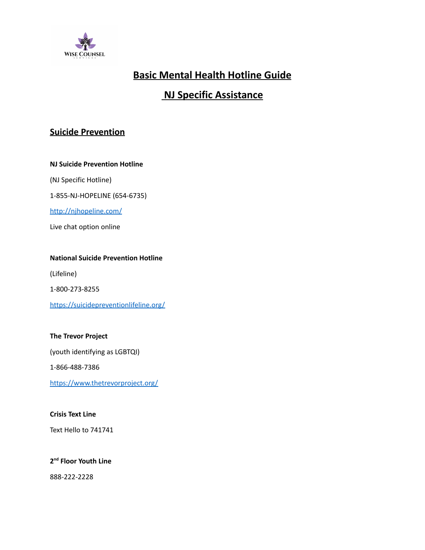

# **Basic Mental Health Hotline Guide**

# **NJ Specific Assistance**

## **Suicide Prevention**

**NJ Suicide Prevention Hotline**

(NJ Specific Hotline)

1-855-NJ-HOPELINE (654-6735)

<http://njhopeline.com/>

Live chat option online

#### **National Suicide Prevention Hotline**

(Lifeline)

1-800-273-8255

<https://suicidepreventionlifeline.org/>

### **The Trevor Project**

(youth identifying as LGBTQI)

1-866-488-7386

<https://www.thetrevorproject.org/>

#### **Crisis Text Line**

Text Hello to 741741

### **2 nd Floor Youth Line**

888-222-2228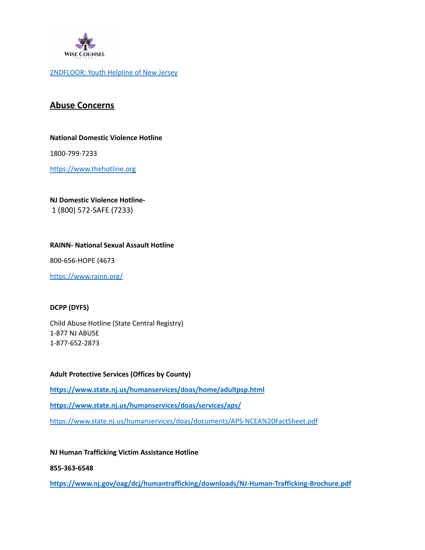

[2NDFLOOR:](https://www.2ndfloor.org/) Youth Helpline of New Jersey

### **Abuse Concerns**

#### **National Domestic Violence Hotline**

1800-799-7233

<https://www.thehotline.org>

#### **NJ Domestic Violence Hotline-**

1 (800) 572-SAFE (7233)

#### **RAINN- National Sexual Assault Hotline**

800-656-HOPE (4673

<https://www.rainn.org/>

#### **DCPP (DYFS)**

Child Abuse Hotline (State Central Registry) 1-877 NJ ABUSE 1-877-652-2873

#### **Adult Protective Services (Offices by County)**

**<https://www.state.nj.us/humanservices/doas/home/adultpsp.html> <https://www.state.nj.us/humanservices/doas/services/aps/>** <https://www.state.nj.us/humanservices/doas/documents/APS-NCEA%20FactSheet.pdf>

#### **NJ Human Trafficking Victim Assistance Hotline**

**855-363-6548**

**<https://www.nj.gov/oag/dcj/humantrafficking/downloads/NJ-Human-Trafficking-Brochure.pdf>**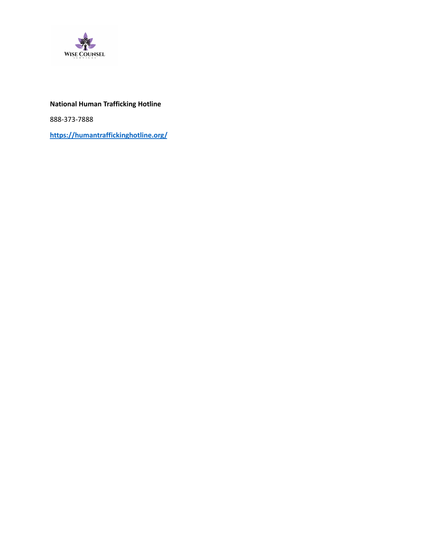

### **National Human Trafficking Hotline**

888-373-7888

**<https://humantraffickinghotline.org/>**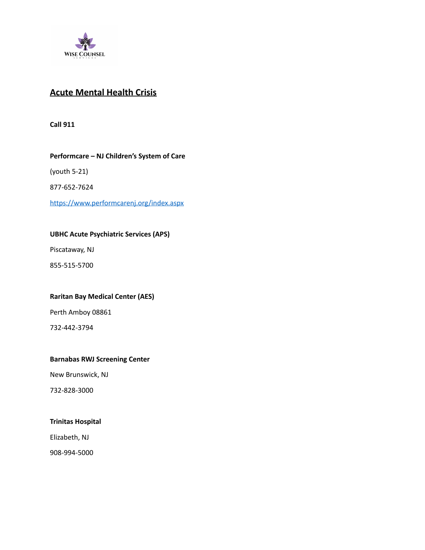

## **Acute Mental Health Crisis**

**Call 911**

#### **Performcare – NJ Children's System of Care**

(youth 5-21)

877-652-7624

<https://www.performcarenj.org/index.aspx>

#### **UBHC Acute Psychiatric Services (APS)**

Piscataway, NJ

855-515-5700

#### **Raritan Bay Medical Center (AES)**

Perth Amboy 08861

732-442-3794

#### **Barnabas RWJ Screening Center**

New Brunswick, NJ

732-828-3000

#### **Trinitas Hospital**

Elizabeth, NJ

908-994-5000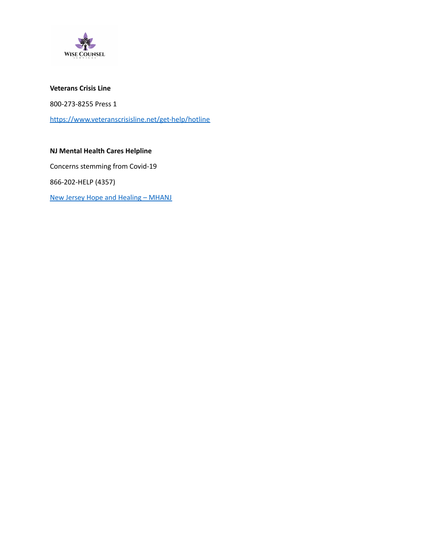

#### **Veterans Crisis Line**

800-273-8255 Press 1

<https://www.veteranscrisisline.net/get-help/hotline>

### **NJ Mental Health Cares Helpline**

Concerns stemming from Covid-19

866-202-HELP (4357)

New Jersey Hope and [Healing](https://www.mhanj.org/njhope/) – MHANJ